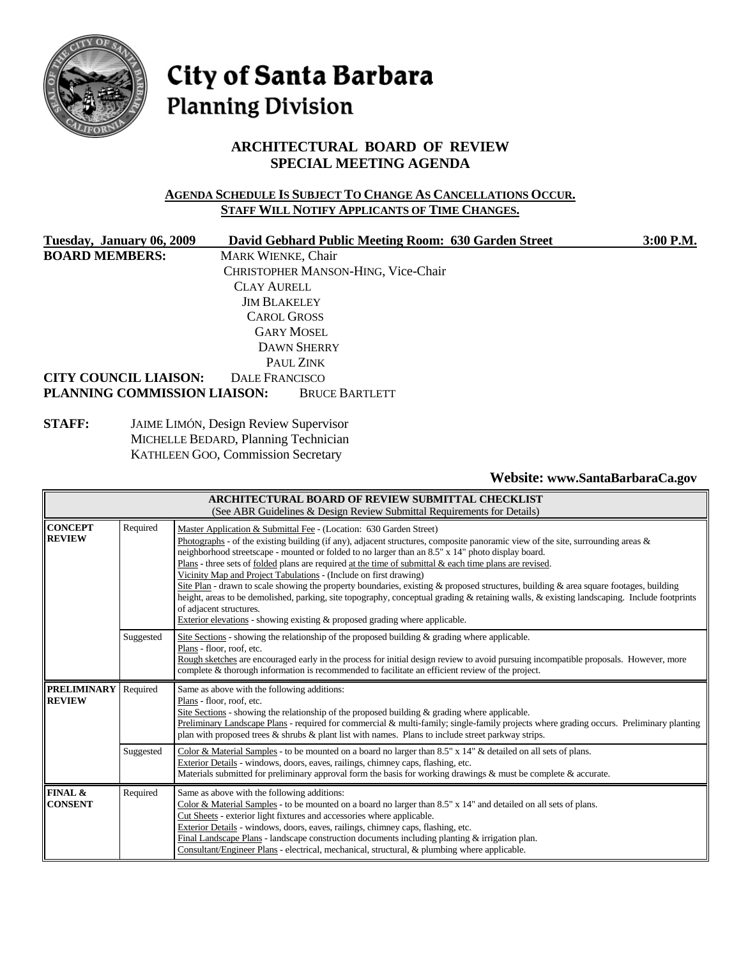

# City of Santa Barbara **Planning Division**

# **ARCHITECTURAL BOARD OF REVIEW SPECIAL MEETING AGENDA**

#### **AGENDA SCHEDULE IS SUBJECT TO CHANGE AS CANCELLATIONS OCCUR. STAFF WILL NOTIFY APPLICANTS OF TIME CHANGES.**

| Tuesday, January 06, 2009    | David Gebhard Public Meeting Room: 630 Garden Street | 3:00 P.M. |
|------------------------------|------------------------------------------------------|-----------|
| <b>BOARD MEMBERS:</b>        | <b>MARK WIENKE, Chair</b>                            |           |
|                              | CHRISTOPHER MANSON-HING, Vice-Chair                  |           |
|                              | <b>CLAY AURELL</b>                                   |           |
|                              | <b>JIM BLAKELEY</b>                                  |           |
|                              | <b>CAROL GROSS</b>                                   |           |
| <b>GARY MOSEL</b>            |                                                      |           |
|                              |                                                      |           |
|                              | PAUL ZINK                                            |           |
| <b>CITY COUNCIL LIAISON:</b> | <b>DALE FRANCISCO</b>                                |           |
| PLANNING COMMISSION LIAISON: | <b>BRUCE BARTLETT</b>                                |           |

**STAFF:** JAIME LIMÓN, Design Review Supervisor MICHELLE BEDARD, Planning Technician KATHLEEN GOO, Commission Secretary

**Website: www.SantaBarbaraCa.gov**

|                                     |                                                                                                                                                                                                                                                                                                                                                                                                                                                                                                                                                                                                                                                                                                                                                                                                                                                                                                            | <b>ARCHITECTURAL BOARD OF REVIEW SUBMITTAL CHECKLIST</b><br>(See ABR Guidelines & Design Review Submittal Requirements for Details)                                                                                                                                                                                                                                                                                                                                                                                                       |
|-------------------------------------|------------------------------------------------------------------------------------------------------------------------------------------------------------------------------------------------------------------------------------------------------------------------------------------------------------------------------------------------------------------------------------------------------------------------------------------------------------------------------------------------------------------------------------------------------------------------------------------------------------------------------------------------------------------------------------------------------------------------------------------------------------------------------------------------------------------------------------------------------------------------------------------------------------|-------------------------------------------------------------------------------------------------------------------------------------------------------------------------------------------------------------------------------------------------------------------------------------------------------------------------------------------------------------------------------------------------------------------------------------------------------------------------------------------------------------------------------------------|
| <b>CONCEPT</b><br><b>REVIEW</b>     | Required<br>Master Application & Submittal Fee - (Location: 630 Garden Street)<br>Photographs - of the existing building (if any), adjacent structures, composite panoramic view of the site, surrounding areas &<br>neighborhood streetscape - mounted or folded to no larger than an 8.5" x 14" photo display board.<br>Plans - three sets of folded plans are required at the time of submittal & each time plans are revised.<br>Vicinity Map and Project Tabulations - (Include on first drawing)<br>Site Plan - drawn to scale showing the property boundaries, existing & proposed structures, building & area square footages, building<br>height, areas to be demolished, parking, site topography, conceptual grading & retaining walls, & existing landscaping. Include footprints<br>of adjacent structures.<br>Exterior elevations - showing existing $\&$ proposed grading where applicable. |                                                                                                                                                                                                                                                                                                                                                                                                                                                                                                                                           |
|                                     | Suggested                                                                                                                                                                                                                                                                                                                                                                                                                                                                                                                                                                                                                                                                                                                                                                                                                                                                                                  | Site Sections - showing the relationship of the proposed building $\&$ grading where applicable.<br>Plans - floor, roof, etc.<br>Rough sketches are encouraged early in the process for initial design review to avoid pursuing incompatible proposals. However, more<br>complete & thorough information is recommended to facilitate an efficient review of the project.                                                                                                                                                                 |
| <b>PRELIMINARY</b><br><b>REVIEW</b> | Required                                                                                                                                                                                                                                                                                                                                                                                                                                                                                                                                                                                                                                                                                                                                                                                                                                                                                                   | Same as above with the following additions:<br>Plans - floor, roof, etc.<br>Site Sections - showing the relationship of the proposed building & grading where applicable.<br>Preliminary Landscape Plans - required for commercial & multi-family; single-family projects where grading occurs. Preliminary planting<br>plan with proposed trees & shrubs & plant list with names. Plans to include street parkway strips.                                                                                                                |
|                                     | Suggested                                                                                                                                                                                                                                                                                                                                                                                                                                                                                                                                                                                                                                                                                                                                                                                                                                                                                                  | Color & Material Samples - to be mounted on a board no larger than 8.5" x 14" & detailed on all sets of plans.<br>Exterior Details - windows, doors, eaves, railings, chimney caps, flashing, etc.<br>Materials submitted for preliminary approval form the basis for working drawings $\&$ must be complete $\&$ accurate.                                                                                                                                                                                                               |
| FINAL &<br><b>CONSENT</b>           | Required                                                                                                                                                                                                                                                                                                                                                                                                                                                                                                                                                                                                                                                                                                                                                                                                                                                                                                   | Same as above with the following additions:<br>Color & Material Samples - to be mounted on a board no larger than $8.5" \times 14"$ and detailed on all sets of plans.<br>Cut Sheets - exterior light fixtures and accessories where applicable.<br>Exterior Details - windows, doors, eaves, railings, chimney caps, flashing, etc.<br>Final Landscape Plans - landscape construction documents including planting $\&$ irrigation plan.<br>Consultant/Engineer Plans - electrical, mechanical, structural, & plumbing where applicable. |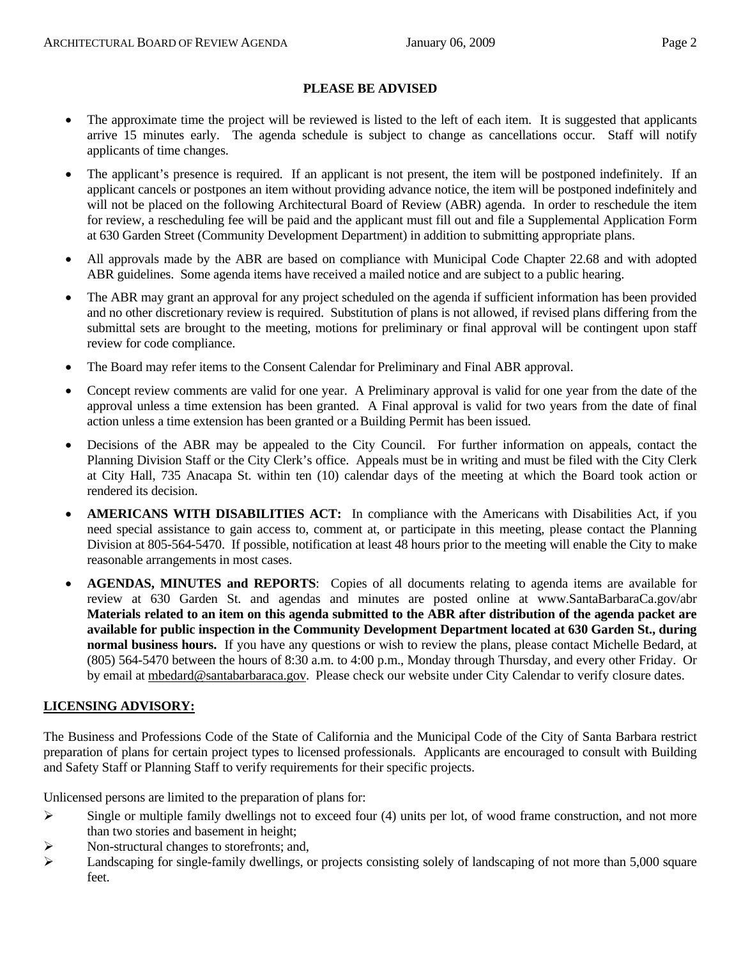#### **PLEASE BE ADVISED**

- The approximate time the project will be reviewed is listed to the left of each item. It is suggested that applicants arrive 15 minutes early. The agenda schedule is subject to change as cancellations occur. Staff will notify applicants of time changes.
- The applicant's presence is required. If an applicant is not present, the item will be postponed indefinitely. If an applicant cancels or postpones an item without providing advance notice, the item will be postponed indefinitely and will not be placed on the following Architectural Board of Review (ABR) agenda. In order to reschedule the item for review, a rescheduling fee will be paid and the applicant must fill out and file a Supplemental Application Form at 630 Garden Street (Community Development Department) in addition to submitting appropriate plans.
- All approvals made by the ABR are based on compliance with Municipal Code Chapter 22.68 and with adopted ABR guidelines. Some agenda items have received a mailed notice and are subject to a public hearing.
- The ABR may grant an approval for any project scheduled on the agenda if sufficient information has been provided and no other discretionary review is required. Substitution of plans is not allowed, if revised plans differing from the submittal sets are brought to the meeting, motions for preliminary or final approval will be contingent upon staff review for code compliance.
- The Board may refer items to the Consent Calendar for Preliminary and Final ABR approval.
- Concept review comments are valid for one year. A Preliminary approval is valid for one year from the date of the approval unless a time extension has been granted. A Final approval is valid for two years from the date of final action unless a time extension has been granted or a Building Permit has been issued.
- Decisions of the ABR may be appealed to the City Council. For further information on appeals, contact the Planning Division Staff or the City Clerk's office. Appeals must be in writing and must be filed with the City Clerk at City Hall, 735 Anacapa St. within ten (10) calendar days of the meeting at which the Board took action or rendered its decision.
- **AMERICANS WITH DISABILITIES ACT:** In compliance with the Americans with Disabilities Act, if you need special assistance to gain access to, comment at, or participate in this meeting, please contact the Planning Division at 805-564-5470. If possible, notification at least 48 hours prior to the meeting will enable the City to make reasonable arrangements in most cases.
- **AGENDAS, MINUTES and REPORTS**: Copies of all documents relating to agenda items are available for review at 630 Garden St. and agendas and minutes are posted online at www.SantaBarbaraCa.gov/abr **Materials related to an item on this agenda submitted to the ABR after distribution of the agenda packet are available for public inspection in the Community Development Department located at 630 Garden St., during normal business hours.** If you have any questions or wish to review the plans, please contact Michelle Bedard, at (805) 564-5470 between the hours of 8:30 a.m. to 4:00 p.m., Monday through Thursday, and every other Friday. Or by email at mbedard@santabarbaraca.gov. Please check our website under City Calendar to verify closure dates.

#### **LICENSING ADVISORY:**

The Business and Professions Code of the State of California and the Municipal Code of the City of Santa Barbara restrict preparation of plans for certain project types to licensed professionals. Applicants are encouraged to consult with Building and Safety Staff or Planning Staff to verify requirements for their specific projects.

Unlicensed persons are limited to the preparation of plans for:

- $\triangleright$  Single or multiple family dwellings not to exceed four (4) units per lot, of wood frame construction, and not more than two stories and basement in height;
- ¾ Non-structural changes to storefronts; and,
- $\blacktriangleright$  Landscaping for single-family dwellings, or projects consisting solely of landscaping of not more than 5,000 square feet.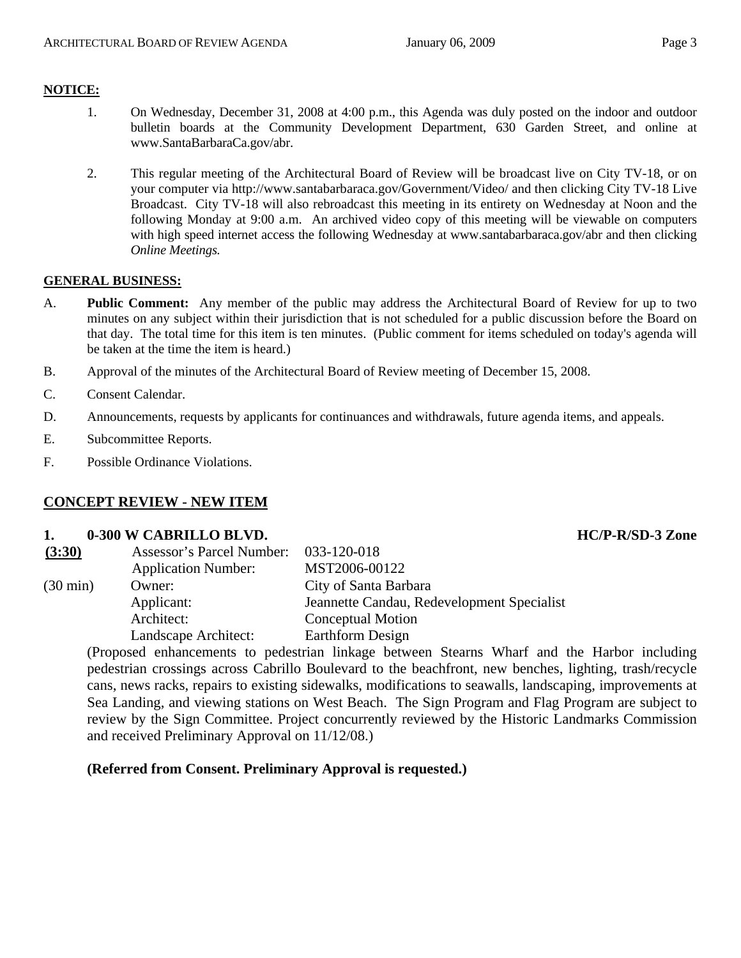## **NOTICE:**

- 1. On Wednesday, December 31, 2008 at 4:00 p.m., this Agenda was duly posted on the indoor and outdoor bulletin boards at the Community Development Department, 630 Garden Street, and online at www.SantaBarbaraCa.gov/abr.
- 2. This regular meeting of the Architectural Board of Review will be broadcast live on City TV-18, or on your computer via http://www.santabarbaraca.gov/Government/Video/ and then clicking City TV-18 Live Broadcast. City TV-18 will also rebroadcast this meeting in its entirety on Wednesday at Noon and the following Monday at 9:00 a.m. An archived video copy of this meeting will be viewable on computers with high speed internet access the following Wednesday at www.santabarbaraca.gov/abr and then clicking *Online Meetings.*

## **GENERAL BUSINESS:**

- A. **Public Comment:** Any member of the public may address the Architectural Board of Review for up to two minutes on any subject within their jurisdiction that is not scheduled for a public discussion before the Board on that day. The total time for this item is ten minutes. (Public comment for items scheduled on today's agenda will be taken at the time the item is heard.)
- B. Approval of the minutes of the Architectural Board of Review meeting of December 15, 2008.
- C. Consent Calendar.
- D. Announcements, requests by applicants for continuances and withdrawals, future agenda items, and appeals.
- E. Subcommittee Reports.
- F. Possible Ordinance Violations.

## **CONCEPT REVIEW - NEW ITEM**

#### **1. 0-300 W CABRILLO BLVD. HC/P-R/SD-3 Zone**

| (3:30)             | <b>Assessor's Parcel Number:</b> | 033-120-018                                |
|--------------------|----------------------------------|--------------------------------------------|
|                    | <b>Application Number:</b>       | MST2006-00122                              |
| $(30 \text{ min})$ | Owner:                           | City of Santa Barbara                      |
|                    | Applicant:                       | Jeannette Candau, Redevelopment Specialist |
|                    | Architect:                       | <b>Conceptual Motion</b>                   |
|                    | Landscape Architect:             | Earthform Design                           |
|                    |                                  |                                            |

(Proposed enhancements to pedestrian linkage between Stearns Wharf and the Harbor including pedestrian crossings across Cabrillo Boulevard to the beachfront, new benches, lighting, trash/recycle cans, news racks, repairs to existing sidewalks, modifications to seawalls, landscaping, improvements at Sea Landing, and viewing stations on West Beach. The Sign Program and Flag Program are subject to review by the Sign Committee. Project concurrently reviewed by the Historic Landmarks Commission and received Preliminary Approval on 11/12/08.)

## **(Referred from Consent. Preliminary Approval is requested.)**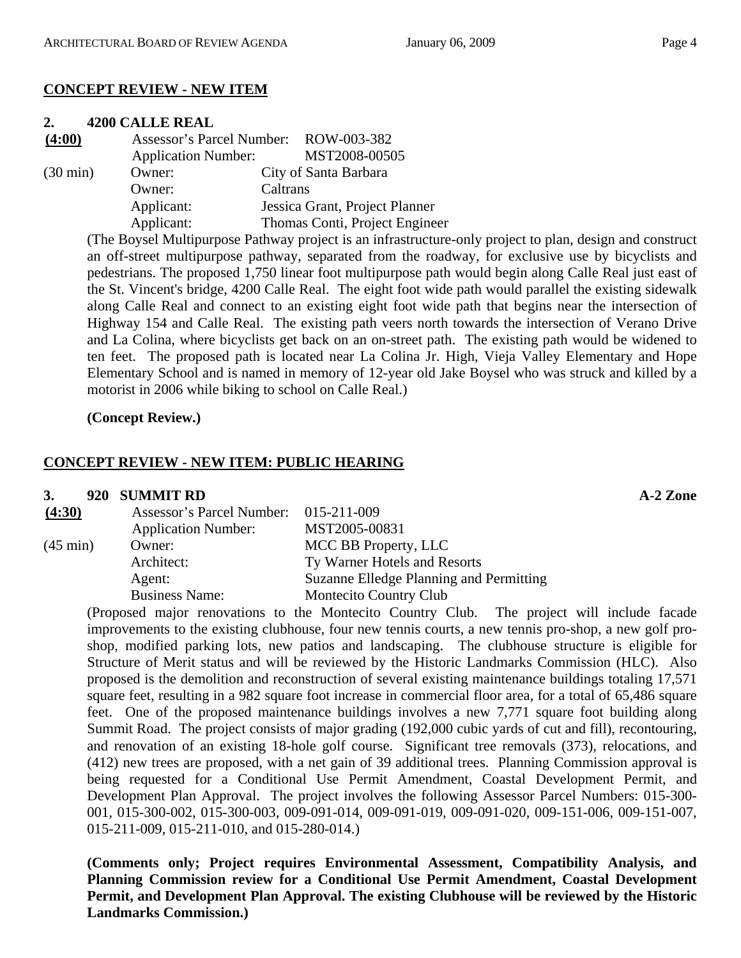# **CONCEPT REVIEW - NEW ITEM**

#### **2. 4200 CALLE REAL**

| (4:00)             |                            | Assessor's Parcel Number: ROW-003-382 |
|--------------------|----------------------------|---------------------------------------|
|                    | <b>Application Number:</b> | MST2008-00505                         |
| $(30 \text{ min})$ | Owner:                     | City of Santa Barbara                 |
|                    | Owner:                     | Caltrans                              |
|                    | Applicant:                 | Jessica Grant, Project Planner        |
|                    | Applicant:                 | Thomas Conti, Project Engineer        |

(The Boysel Multipurpose Pathway project is an infrastructure-only project to plan, design and construct an off-street multipurpose pathway, separated from the roadway, for exclusive use by bicyclists and pedestrians. The proposed 1,750 linear foot multipurpose path would begin along Calle Real just east of the St. Vincent's bridge, 4200 Calle Real. The eight foot wide path would parallel the existing sidewalk along Calle Real and connect to an existing eight foot wide path that begins near the intersection of Highway 154 and Calle Real. The existing path veers north towards the intersection of Verano Drive and La Colina, where bicyclists get back on an on-street path. The existing path would be widened to ten feet. The proposed path is located near La Colina Jr. High, Vieja Valley Elementary and Hope Elementary School and is named in memory of 12-year old Jake Boysel who was struck and killed by a motorist in 2006 while biking to school on Calle Real.)

# **(Concept Review.)**

# **CONCEPT REVIEW - NEW ITEM: PUBLIC HEARING**

#### **3. 920 SUMMIT RD A-2 Zone**

| (4:30)             | Assessor's Parcel Number: 015-211-009 |                                         |
|--------------------|---------------------------------------|-----------------------------------------|
|                    | <b>Application Number:</b>            | MST2005-00831                           |
| $(45 \text{ min})$ | Owner:                                | MCC BB Property, LLC                    |
|                    | Architect:                            | Ty Warner Hotels and Resorts            |
|                    | Agent:                                | Suzanne Elledge Planning and Permitting |
|                    | <b>Business Name:</b>                 | Montecito Country Club                  |

(Proposed major renovations to the Montecito Country Club. The project will include facade improvements to the existing clubhouse, four new tennis courts, a new tennis pro-shop, a new golf proshop, modified parking lots, new patios and landscaping. The clubhouse structure is eligible for Structure of Merit status and will be reviewed by the Historic Landmarks Commission (HLC). Also proposed is the demolition and reconstruction of several existing maintenance buildings totaling 17,571 square feet, resulting in a 982 square foot increase in commercial floor area, for a total of 65,486 square feet. One of the proposed maintenance buildings involves a new 7,771 square foot building along Summit Road. The project consists of major grading (192,000 cubic yards of cut and fill), recontouring, and renovation of an existing 18-hole golf course. Significant tree removals (373), relocations, and (412) new trees are proposed, with a net gain of 39 additional trees. Planning Commission approval is being requested for a Conditional Use Permit Amendment, Coastal Development Permit, and Development Plan Approval. The project involves the following Assessor Parcel Numbers: 015-300- 001, 015-300-002, 015-300-003, 009-091-014, 009-091-019, 009-091-020, 009-151-006, 009-151-007, 015-211-009, 015-211-010, and 015-280-014.)

**(Comments only; Project requires Environmental Assessment, Compatibility Analysis, and Planning Commission review for a Conditional Use Permit Amendment, Coastal Development Permit, and Development Plan Approval. The existing Clubhouse will be reviewed by the Historic Landmarks Commission.)**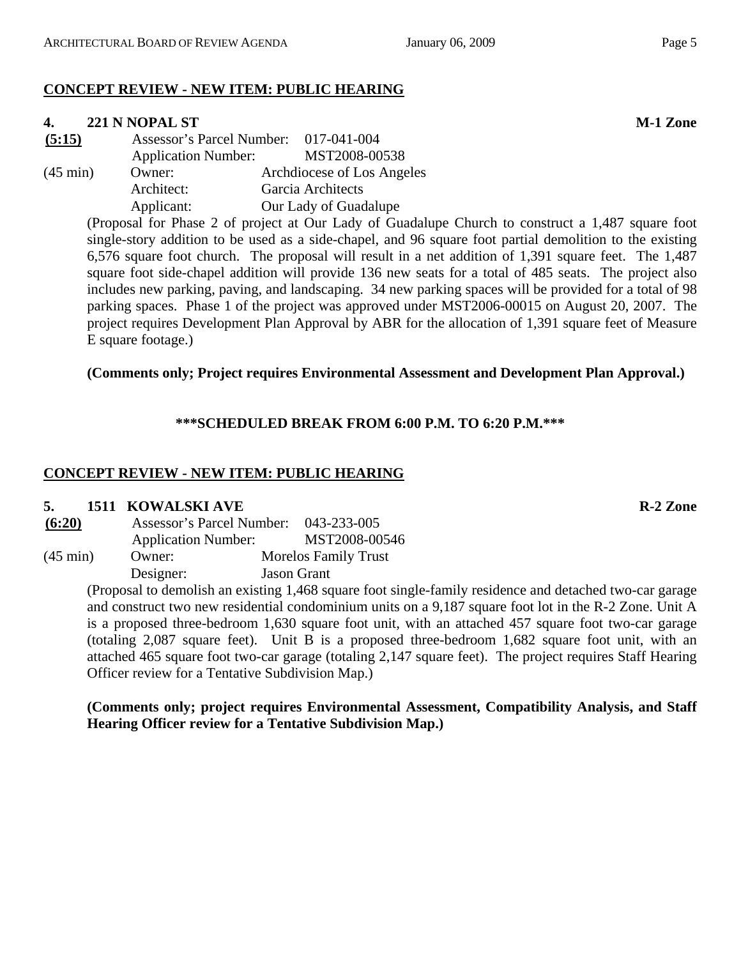# **CONCEPT REVIEW - NEW ITEM: PUBLIC HEARING**

# **4. 221 N NOPAL ST M-1 Zone**

**(5:15)** Assessor's Parcel Number: 017-041-004 Application Number: MST2008-00538 (45 min) Owner: Archdiocese of Los Angeles Architect: Garcia Architects

Applicant: Our Lady of Guadalupe

(Proposal for Phase 2 of project at Our Lady of Guadalupe Church to construct a 1,487 square foot single-story addition to be used as a side-chapel, and 96 square foot partial demolition to the existing 6,576 square foot church. The proposal will result in a net addition of 1,391 square feet. The 1,487 square foot side-chapel addition will provide 136 new seats for a total of 485 seats. The project also includes new parking, paving, and landscaping. 34 new parking spaces will be provided for a total of 98 parking spaces. Phase 1 of the project was approved under MST2006-00015 on August 20, 2007. The project requires Development Plan Approval by ABR for the allocation of 1,391 square feet of Measure E square footage.)

# **(Comments only; Project requires Environmental Assessment and Development Plan Approval.)**

# **\*\*\*SCHEDULED BREAK FROM 6:00 P.M. TO 6:20 P.M.\*\*\***

# **CONCEPT REVIEW - NEW ITEM: PUBLIC HEARING**

# **5. 1511 KOWALSKI AVE R-2 Zone**

| (6:20)             | Assessor's Parcel Number:  | 043-233-005                 |
|--------------------|----------------------------|-----------------------------|
|                    | <b>Application Number:</b> | MST2008-00546               |
| $(45 \text{ min})$ | Owner:                     | <b>Morelos Family Trust</b> |
|                    | Designer:                  | <b>Jason Grant</b>          |

(Proposal to demolish an existing 1,468 square foot single-family residence and detached two-car garage and construct two new residential condominium units on a 9,187 square foot lot in the R-2 Zone. Unit A is a proposed three-bedroom 1,630 square foot unit, with an attached 457 square foot two-car garage (totaling 2,087 square feet). Unit B is a proposed three-bedroom 1,682 square foot unit, with an attached 465 square foot two-car garage (totaling 2,147 square feet). The project requires Staff Hearing Officer review for a Tentative Subdivision Map.)

**(Comments only; project requires Environmental Assessment, Compatibility Analysis, and Staff Hearing Officer review for a Tentative Subdivision Map.)**